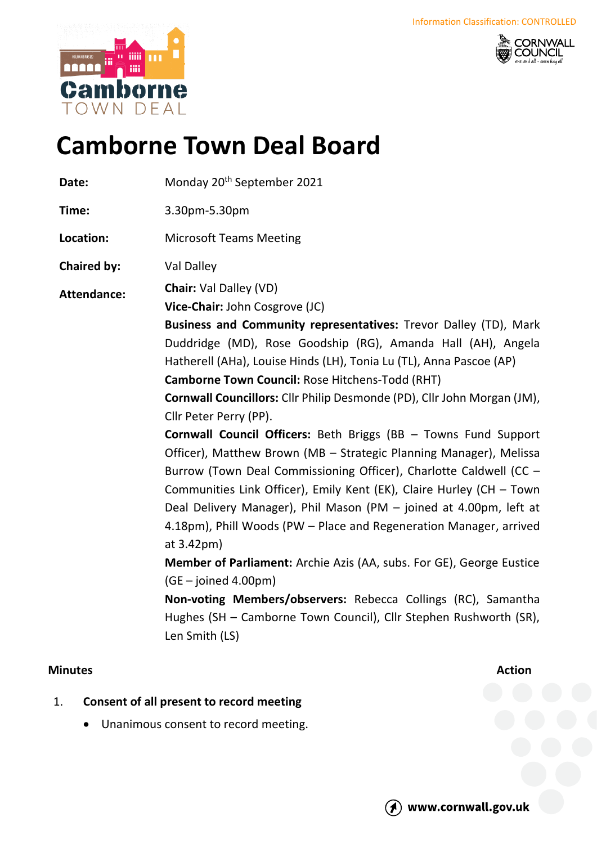



# **Camborne Town Deal Board**

Date: Monday 20<sup>th</sup> September 2021

**Time:** 3.30pm-5.30pm

**Location:** Microsoft Teams Meeting

**Chaired by:** Val Dalley

**Attendance: Chair:** Val Dalley (VD)

**Vice-Chair:** John Cosgrove (JC)

**Business and Community representatives:** Trevor Dalley (TD), Mark Duddridge (MD), Rose Goodship (RG), Amanda Hall (AH), Angela Hatherell (AHa), Louise Hinds (LH), Tonia Lu (TL), Anna Pascoe (AP)

**Camborne Town Council:** Rose Hitchens-Todd (RHT)

**Cornwall Councillors:** Cllr Philip Desmonde (PD), Cllr John Morgan (JM), Cllr Peter Perry (PP).

**Cornwall Council Officers:** Beth Briggs (BB – Towns Fund Support Officer), Matthew Brown (MB – Strategic Planning Manager), Melissa Burrow (Town Deal Commissioning Officer), Charlotte Caldwell (CC – Communities Link Officer), Emily Kent (EK), Claire Hurley (CH – Town Deal Delivery Manager), Phil Mason (PM – joined at 4.00pm, left at 4.18pm), Phill Woods (PW – Place and Regeneration Manager, arrived at 3.42pm)

**Member of Parliament:** Archie Azis (AA, subs. For GE), George Eustice (GE – joined 4.00pm)

**Non-voting Members/observers:** Rebecca Collings (RC), Samantha Hughes (SH – Camborne Town Council), Cllr Stephen Rushworth (SR), Len Smith (LS)

## **Minutes Action**

- 1. **Consent of all present to record meeting**
	- Unanimous consent to record meeting.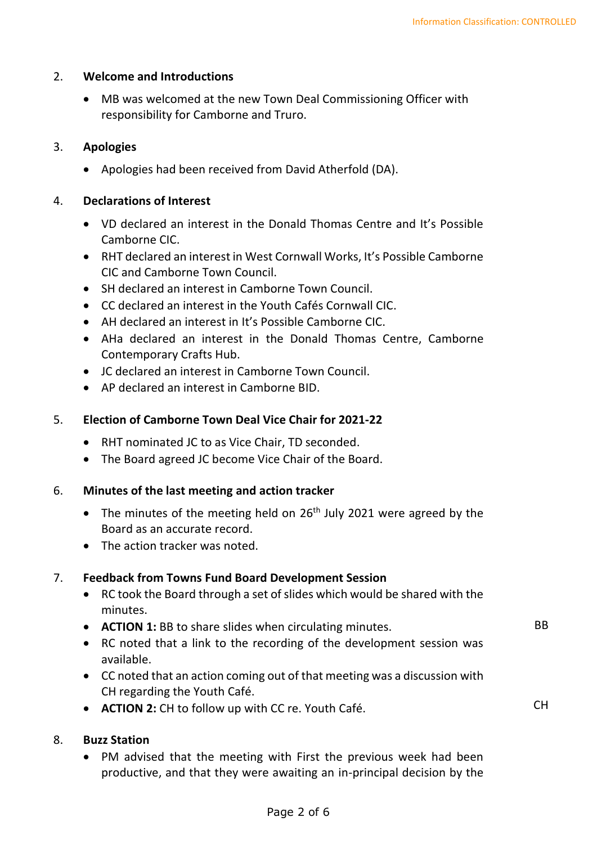BB

CH

#### 2. **Welcome and Introductions**

• MB was welcomed at the new Town Deal Commissioning Officer with responsibility for Camborne and Truro.

#### 3. **Apologies**

• Apologies had been received from David Atherfold (DA).

#### 4. **Declarations of Interest**

- VD declared an interest in the Donald Thomas Centre and It's Possible Camborne CIC.
- RHT declared an interest in West Cornwall Works, It's Possible Camborne CIC and Camborne Town Council.
- SH declared an interest in Camborne Town Council.
- CC declared an interest in the Youth Cafés Cornwall CIC.
- AH declared an interest in It's Possible Camborne CIC.
- AHa declared an interest in the Donald Thomas Centre, Camborne Contemporary Crafts Hub.
- JC declared an interest in Camborne Town Council.
- AP declared an interest in Camborne BID.

## 5. **Election of Camborne Town Deal Vice Chair for 2021-22**

- RHT nominated JC to as Vice Chair, TD seconded.
- The Board agreed JC become Vice Chair of the Board.

#### 6. **Minutes of the last meeting and action tracker**

- The minutes of the meeting held on  $26<sup>th</sup>$  July 2021 were agreed by the Board as an accurate record.
- The action tracker was noted.

## 7. **Feedback from Towns Fund Board Development Session**

- RC took the Board through a set of slides which would be shared with the minutes.
- **ACTION 1:** BB to share slides when circulating minutes.
- RC noted that a link to the recording of the development session was available.
- CC noted that an action coming out of that meeting was a discussion with CH regarding the Youth Café.
- **ACTION 2:** CH to follow up with CC re. Youth Café.

## 8. **Buzz Station**

• PM advised that the meeting with First the previous week had been productive, and that they were awaiting an in-principal decision by the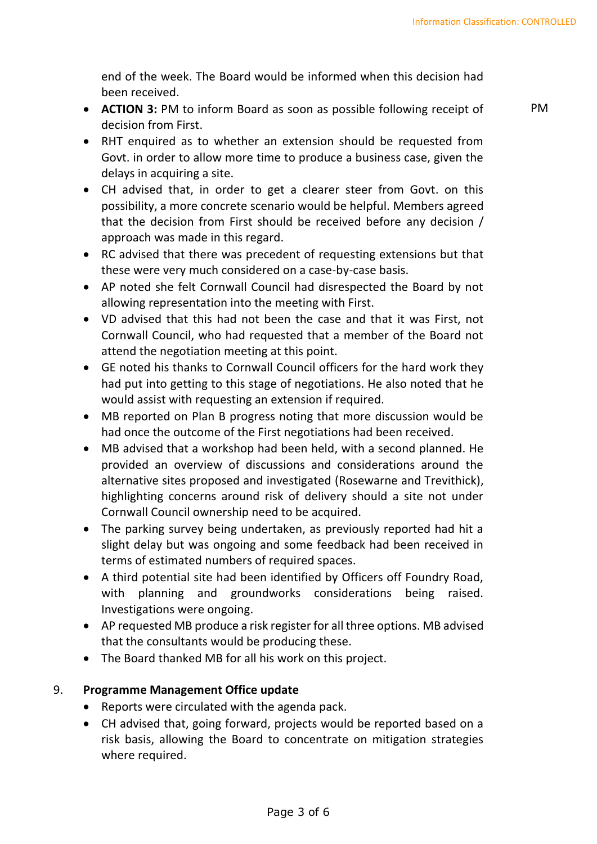end of the week. The Board would be informed when this decision had been received.

• **ACTION 3:** PM to inform Board as soon as possible following receipt of decision from First.

PM

- RHT enquired as to whether an extension should be requested from Govt. in order to allow more time to produce a business case, given the delays in acquiring a site.
- CH advised that, in order to get a clearer steer from Govt. on this possibility, a more concrete scenario would be helpful. Members agreed that the decision from First should be received before any decision / approach was made in this regard.
- RC advised that there was precedent of requesting extensions but that these were very much considered on a case-by-case basis.
- AP noted she felt Cornwall Council had disrespected the Board by not allowing representation into the meeting with First.
- VD advised that this had not been the case and that it was First, not Cornwall Council, who had requested that a member of the Board not attend the negotiation meeting at this point.
- GE noted his thanks to Cornwall Council officers for the hard work they had put into getting to this stage of negotiations. He also noted that he would assist with requesting an extension if required.
- MB reported on Plan B progress noting that more discussion would be had once the outcome of the First negotiations had been received.
- MB advised that a workshop had been held, with a second planned. He provided an overview of discussions and considerations around the alternative sites proposed and investigated (Rosewarne and Trevithick), highlighting concerns around risk of delivery should a site not under Cornwall Council ownership need to be acquired.
- The parking survey being undertaken, as previously reported had hit a slight delay but was ongoing and some feedback had been received in terms of estimated numbers of required spaces.
- A third potential site had been identified by Officers off Foundry Road, with planning and groundworks considerations being raised. Investigations were ongoing.
- AP requested MB produce a risk register for all three options. MB advised that the consultants would be producing these.
- The Board thanked MB for all his work on this project.

## 9. **Programme Management Office update**

- Reports were circulated with the agenda pack.
- CH advised that, going forward, projects would be reported based on a risk basis, allowing the Board to concentrate on mitigation strategies where required.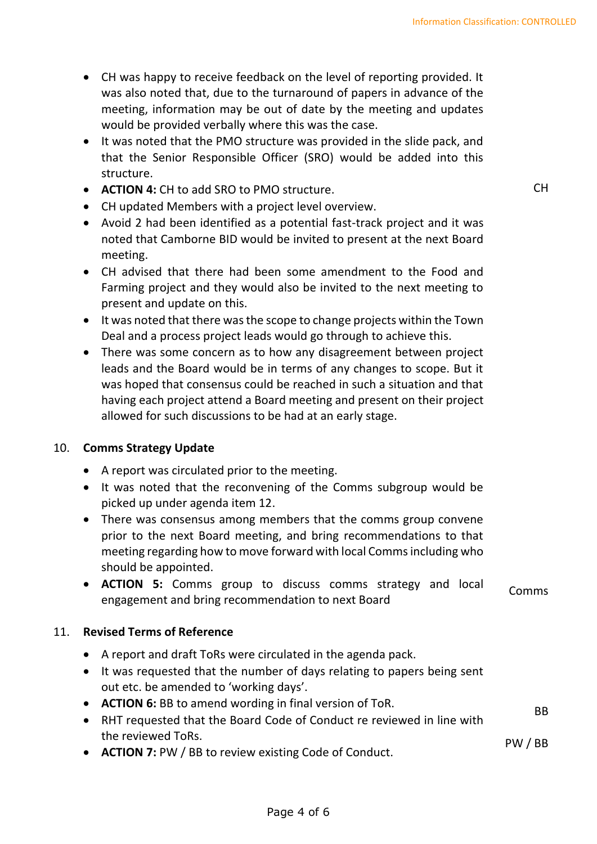- CH was happy to receive feedback on the level of reporting provided. It was also noted that, due to the turnaround of papers in advance of the meeting, information may be out of date by the meeting and updates would be provided verbally where this was the case.
- It was noted that the PMO structure was provided in the slide pack, and that the Senior Responsible Officer (SRO) would be added into this structure.
- **ACTION 4:** CH to add SRO to PMO structure.
- CH updated Members with a project level overview.
- Avoid 2 had been identified as a potential fast-track project and it was noted that Camborne BID would be invited to present at the next Board meeting.
- CH advised that there had been some amendment to the Food and Farming project and they would also be invited to the next meeting to present and update on this.
- It was noted that there was the scope to change projects within the Town Deal and a process project leads would go through to achieve this.
- There was some concern as to how any disagreement between project leads and the Board would be in terms of any changes to scope. But it was hoped that consensus could be reached in such a situation and that having each project attend a Board meeting and present on their project allowed for such discussions to be had at an early stage.

## 10. **Comms Strategy Update**

- A report was circulated prior to the meeting.
- It was noted that the reconvening of the Comms subgroup would be picked up under agenda item 12.
- There was consensus among members that the comms group convene prior to the next Board meeting, and bring recommendations to that meeting regarding how to move forward with local Comms including who should be appointed.
- **ACTION 5:** Comms group to discuss comms strategy and local **ECTION 5.** COMMIS group to discuss commis strategy and local Comms engagement and bring recommendation to next Board

#### 11. **Revised Terms of Reference**

- A report and draft ToRs were circulated in the agenda pack.
- It was requested that the number of days relating to papers being sent out etc. be amended to 'working days'.
- **ACTION 6:** BB to amend wording in final version of ToR.
- RHT requested that the Board Code of Conduct re reviewed in line with the reviewed ToRs.
- **ACTION 7:** PW / BB to review existing Code of Conduct.

CH

BB

PW / BB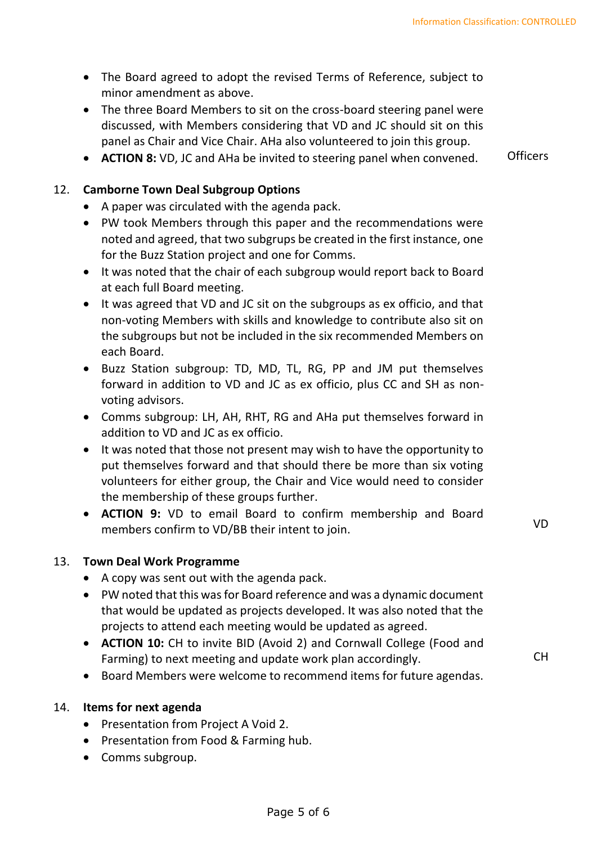- The Board agreed to adopt the revised Terms of Reference, subject to minor amendment as above.
- The three Board Members to sit on the cross-board steering panel were discussed, with Members considering that VD and JC should sit on this panel as Chair and Vice Chair. AHa also volunteered to join this group.
- **ACTION 8:** VD, JC and AHa be invited to steering panel when convened. Officers

12. **Camborne Town Deal Subgroup Options** 

- A paper was circulated with the agenda pack.
- PW took Members through this paper and the recommendations were noted and agreed, that two subgrups be created in the first instance, one for the Buzz Station project and one for Comms.
- It was noted that the chair of each subgroup would report back to Board at each full Board meeting.
- It was agreed that VD and JC sit on the subgroups as ex officio, and that non-voting Members with skills and knowledge to contribute also sit on the subgroups but not be included in the six recommended Members on each Board.
- Buzz Station subgroup: TD, MD, TL, RG, PP and JM put themselves forward in addition to VD and JC as ex officio, plus CC and SH as nonvoting advisors.
- Comms subgroup: LH, AH, RHT, RG and AHa put themselves forward in addition to VD and JC as ex officio.
- It was noted that those not present may wish to have the opportunity to put themselves forward and that should there be more than six voting volunteers for either group, the Chair and Vice would need to consider the membership of these groups further.
- **ACTION 9:** VD to email Board to confirm membership and Board members confirm to VD/BB their intent to join. VD

## 13. **Town Deal Work Programme**

- A copy was sent out with the agenda pack.
- PW noted that this was for Board reference and was a dynamic document that would be updated as projects developed. It was also noted that the projects to attend each meeting would be updated as agreed.
- **ACTION 10:** CH to invite BID (Avoid 2) and Cornwall College (Food and Farming) to next meeting and update work plan accordingly.
- Board Members were welcome to recommend items for future agendas.

## 14. **Items for next agenda**

- Presentation from Project A Void 2.
- Presentation from Food & Farming hub.
- Comms subgroup.

CH